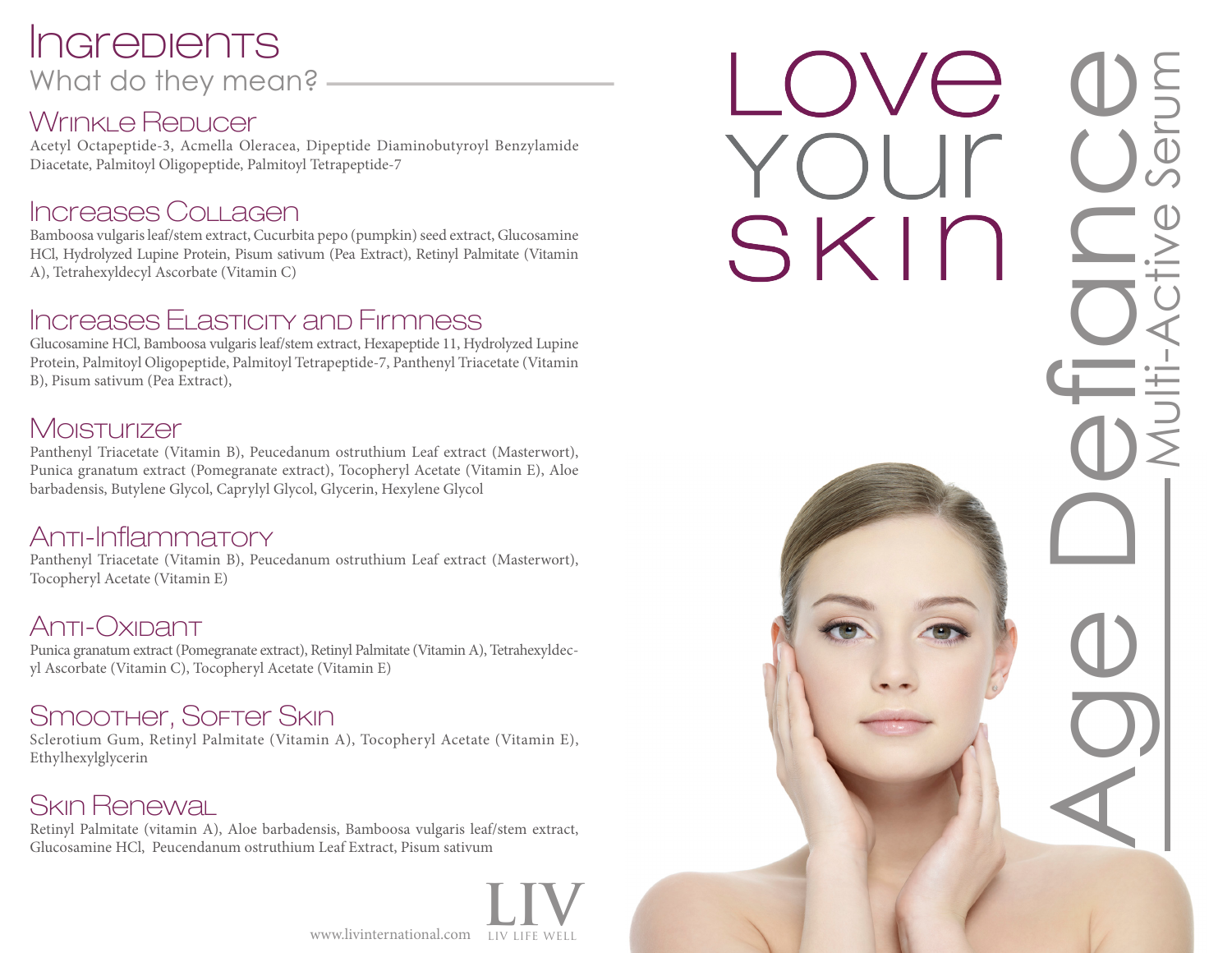## **Ingredients** What do they mean? -

#### WrinkLe Repucer

Acetyl Octapeptide-3, Acmella Oleracea, Dipeptide Diaminobutyroyl Benzylamide Diacetate, Palmitoyl Oligopeptide, Palmitoyl Tetrapeptide-7

#### Increases Collagen

Bamboosa vulgaris leaf/stem extract, Cucurbita pepo (pumpkin) seed extract, Glucosamine HCl, Hydrolyzed Lupine Protein, Pisum sativum (Pea Extract), Retinyl Palmitate (Vitamin A), Tetrahexyldecyl Ascorbate (Vitamin C)

#### Increases Elasticity and Firmness

Glucosamine HCl, Bamboosa vulgaris leaf/stem extract, Hexapeptide 11, Hydrolyzed Lupine Protein, Palmitoyl Oligopeptide, Palmitoyl Tetrapeptide-7, Panthenyl Triacetate (Vitamin B), Pisum sativum (Pea Extract),

#### **Moisturizer**

Panthenyl Triacetate (Vitamin B), Peucedanum ostruthium Leaf extract (Masterwort), Punica granatum extract (Pomegranate extract), Tocopheryl Acetate (Vitamin E), Aloe barbadensis, Butylene Glycol, Caprylyl Glycol, Glycerin, Hexylene Glycol

#### Anti-Inflammatory

Panthenyl Triacetate (Vitamin B), Peucedanum ostruthium Leaf extract (Masterwort), Tocopheryl Acetate (Vitamin E)

#### Anti-Oxipant

Punica granatum extract (Pomegranate extract), Retinyl Palmitate (Vitamin A), Tetrahexyldecyl Ascorbate (Vitamin C), Tocopheryl Acetate (Vitamin E)

#### Smoother, Softer Skin

Sclerotium Gum, Retinyl Palmitate (Vitamin A), Tocopheryl Acetate (Vitamin E), Ethylhexylglycerin

### Skin Renewal

Retinyl Palmitate (vitamin A), Aloe barbadensis, Bamboosa vulgaris leaf/stem extract, Glucosamine HCl, Peucendanum ostruthium Leaf Extract, Pisum sativum

www.livinternational.com LIV LIFE WELL